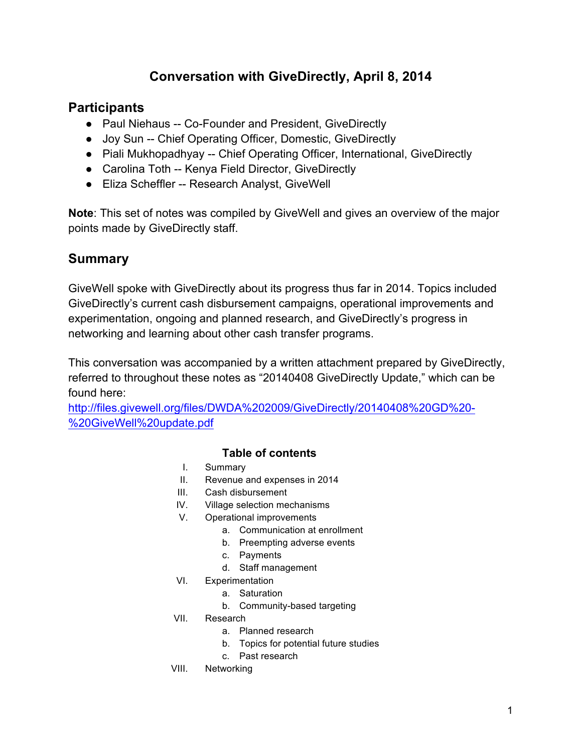# **Conversation with GiveDirectly, April 8, 2014**

## **Participants**

- Paul Niehaus -- Co-Founder and President, GiveDirectly
- Joy Sun -- Chief Operating Officer, Domestic, GiveDirectly
- Piali Mukhopadhyay -- Chief Operating Officer, International, GiveDirectly
- Carolina Toth -- Kenya Field Director, GiveDirectly
- Eliza Scheffler -- Research Analyst, GiveWell

**Note**: This set of notes was compiled by GiveWell and gives an overview of the major points made by GiveDirectly staff.

# **Summary**

GiveWell spoke with GiveDirectly about its progress thus far in 2014. Topics included GiveDirectly's current cash disbursement campaigns, operational improvements and experimentation, ongoing and planned research, and GiveDirectly's progress in networking and learning about other cash transfer programs.

This conversation was accompanied by a written attachment prepared by GiveDirectly, referred to throughout these notes as "20140408 GiveDirectly Update," which can be found here:

http://files.givewell.org/files/DWDA%202009/GiveDirectly/20140408%20GD%20- %20GiveWell%20update.pdf

#### **Table of contents**

- I. Summary
- II. Revenue and expenses in 2014
- III. Cash disbursement
- IV. Village selection mechanisms
- V. Operational improvements
	- a. Communication at enrollment
	- b. Preempting adverse events
	- c. Payments
	- d. Staff management
- VI. Experimentation
	- a. Saturation
	- b. Community-based targeting
- VII. Research
	- a. Planned research
	- b. Topics for potential future studies
	- c. Past research
- VIII. Networking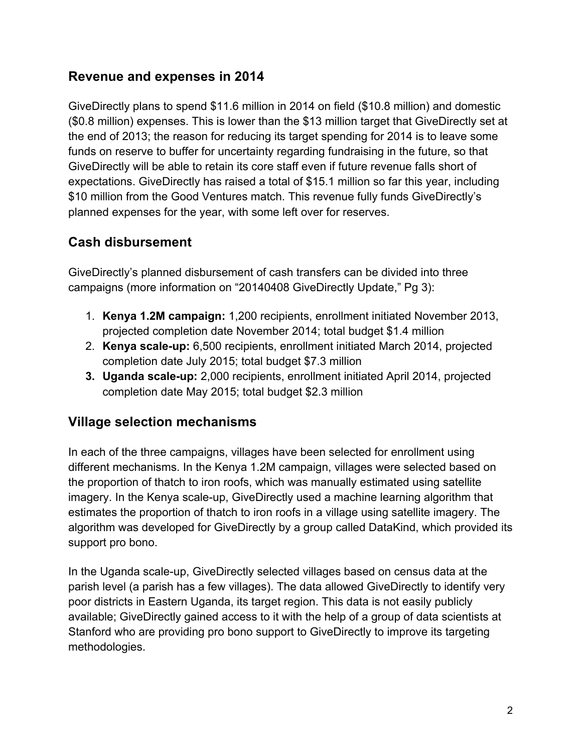## **Revenue and expenses in 2014**

GiveDirectly plans to spend \$11.6 million in 2014 on field (\$10.8 million) and domestic (\$0.8 million) expenses. This is lower than the \$13 million target that GiveDirectly set at the end of 2013; the reason for reducing its target spending for 2014 is to leave some funds on reserve to buffer for uncertainty regarding fundraising in the future, so that GiveDirectly will be able to retain its core staff even if future revenue falls short of expectations. GiveDirectly has raised a total of \$15.1 million so far this year, including \$10 million from the Good Ventures match. This revenue fully funds GiveDirectly's planned expenses for the year, with some left over for reserves.

# **Cash disbursement**

GiveDirectly's planned disbursement of cash transfers can be divided into three campaigns (more information on "20140408 GiveDirectly Update," Pg 3):

- 1. **Kenya 1.2M campaign:** 1,200 recipients, enrollment initiated November 2013, projected completion date November 2014; total budget \$1.4 million
- 2. **Kenya scale-up:** 6,500 recipients, enrollment initiated March 2014, projected completion date July 2015; total budget \$7.3 million
- **3. Uganda scale-up:** 2,000 recipients, enrollment initiated April 2014, projected completion date May 2015; total budget \$2.3 million

# **Village selection mechanisms**

In each of the three campaigns, villages have been selected for enrollment using different mechanisms. In the Kenya 1.2M campaign, villages were selected based on the proportion of thatch to iron roofs, which was manually estimated using satellite imagery. In the Kenya scale-up, GiveDirectly used a machine learning algorithm that estimates the proportion of thatch to iron roofs in a village using satellite imagery. The algorithm was developed for GiveDirectly by a group called DataKind, which provided its support pro bono.

In the Uganda scale-up, GiveDirectly selected villages based on census data at the parish level (a parish has a few villages). The data allowed GiveDirectly to identify very poor districts in Eastern Uganda, its target region. This data is not easily publicly available; GiveDirectly gained access to it with the help of a group of data scientists at Stanford who are providing pro bono support to GiveDirectly to improve its targeting methodologies.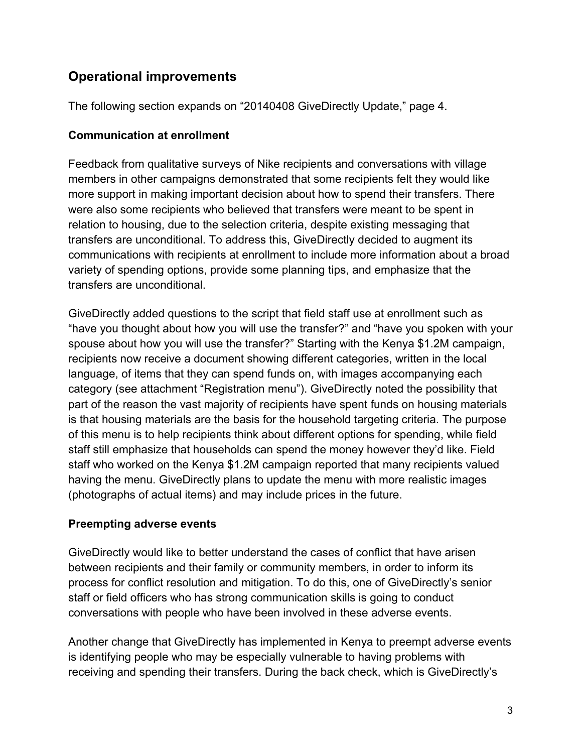# **Operational improvements**

The following section expands on "20140408 GiveDirectly Update," page 4.

#### **Communication at enrollment**

Feedback from qualitative surveys of Nike recipients and conversations with village members in other campaigns demonstrated that some recipients felt they would like more support in making important decision about how to spend their transfers. There were also some recipients who believed that transfers were meant to be spent in relation to housing, due to the selection criteria, despite existing messaging that transfers are unconditional. To address this, GiveDirectly decided to augment its communications with recipients at enrollment to include more information about a broad variety of spending options, provide some planning tips, and emphasize that the transfers are unconditional.

GiveDirectly added questions to the script that field staff use at enrollment such as "have you thought about how you will use the transfer?" and "have you spoken with your spouse about how you will use the transfer?" Starting with the Kenya \$1.2M campaign, recipients now receive a document showing different categories, written in the local language, of items that they can spend funds on, with images accompanying each category (see attachment "Registration menu"). GiveDirectly noted the possibility that part of the reason the vast majority of recipients have spent funds on housing materials is that housing materials are the basis for the household targeting criteria. The purpose of this menu is to help recipients think about different options for spending, while field staff still emphasize that households can spend the money however they'd like. Field staff who worked on the Kenya \$1.2M campaign reported that many recipients valued having the menu. GiveDirectly plans to update the menu with more realistic images (photographs of actual items) and may include prices in the future.

#### **Preempting adverse events**

GiveDirectly would like to better understand the cases of conflict that have arisen between recipients and their family or community members, in order to inform its process for conflict resolution and mitigation. To do this, one of GiveDirectly's senior staff or field officers who has strong communication skills is going to conduct conversations with people who have been involved in these adverse events.

Another change that GiveDirectly has implemented in Kenya to preempt adverse events is identifying people who may be especially vulnerable to having problems with receiving and spending their transfers. During the back check, which is GiveDirectly's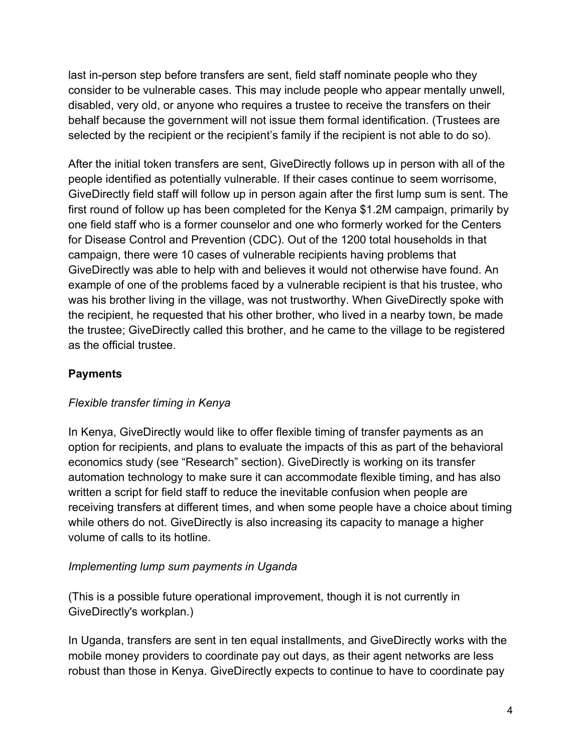last in-person step before transfers are sent, field staff nominate people who they consider to be vulnerable cases. This may include people who appear mentally unwell, disabled, very old, or anyone who requires a trustee to receive the transfers on their behalf because the government will not issue them formal identification. (Trustees are selected by the recipient or the recipient's family if the recipient is not able to do so).

After the initial token transfers are sent, GiveDirectly follows up in person with all of the people identified as potentially vulnerable. If their cases continue to seem worrisome, GiveDirectly field staff will follow up in person again after the first lump sum is sent. The first round of follow up has been completed for the Kenya \$1.2M campaign, primarily by one field staff who is a former counselor and one who formerly worked for the Centers for Disease Control and Prevention (CDC). Out of the 1200 total households in that campaign, there were 10 cases of vulnerable recipients having problems that GiveDirectly was able to help with and believes it would not otherwise have found. An example of one of the problems faced by a vulnerable recipient is that his trustee, who was his brother living in the village, was not trustworthy. When GiveDirectly spoke with the recipient, he requested that his other brother, who lived in a nearby town, be made the trustee; GiveDirectly called this brother, and he came to the village to be registered as the official trustee.

## **Payments**

### *Flexible transfer timing in Kenya*

In Kenya, GiveDirectly would like to offer flexible timing of transfer payments as an option for recipients, and plans to evaluate the impacts of this as part of the behavioral economics study (see "Research" section). GiveDirectly is working on its transfer automation technology to make sure it can accommodate flexible timing, and has also written a script for field staff to reduce the inevitable confusion when people are receiving transfers at different times, and when some people have a choice about timing while others do not. GiveDirectly is also increasing its capacity to manage a higher volume of calls to its hotline.

### *Implementing lump sum payments in Uganda*

(This is a possible future operational improvement, though it is not currently in GiveDirectly's workplan.)

In Uganda, transfers are sent in ten equal installments, and GiveDirectly works with the mobile money providers to coordinate pay out days, as their agent networks are less robust than those in Kenya. GiveDirectly expects to continue to have to coordinate pay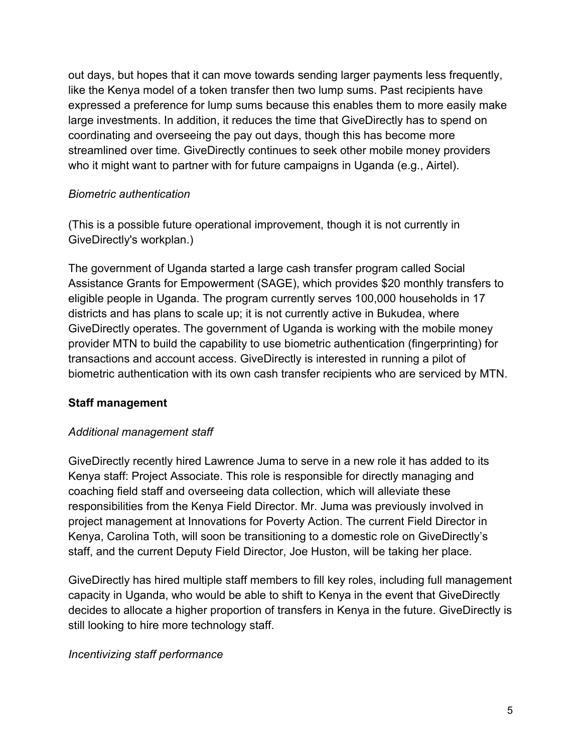out days, but hopes that it can move towards sending larger payments less frequently, like the Kenya model of a token transfer then two lump sums. Past recipients have expressed a preference for lump sums because this enables them to more easily make large investments. In addition, it reduces the time that GiveDirectly has to spend on coordinating and overseeing the pay out days, though this has become more streamlined over time. GiveDirectly continues to seek other mobile money providers who it might want to partner with for future campaigns in Uganda (e.g., Airtel).

#### *Biometric authentication*

(This is a possible future operational improvement, though it is not currently in GiveDirectly's workplan.)

The government of Uganda started a large cash transfer program called Social Assistance Grants for Empowerment (SAGE), which provides \$20 monthly transfers to eligible people in Uganda. The program currently serves 100,000 households in 17 districts and has plans to scale up; it is not currently active in Bukudea, where GiveDirectly operates. The government of Uganda is working with the mobile money provider MTN to build the capability to use biometric authentication (fingerprinting) for transactions and account access. GiveDirectly is interested in running a pilot of biometric authentication with its own cash transfer recipients who are serviced by MTN.

### **Staff management**

#### *Additional management staff*

GiveDirectly recently hired Lawrence Juma to serve in a new role it has added to its Kenya staff: Project Associate. This role is responsible for directly managing and coaching field staff and overseeing data collection, which will alleviate these responsibilities from the Kenya Field Director. Mr. Juma was previously involved in project management at Innovations for Poverty Action. The current Field Director in Kenya, Carolina Toth, will soon be transitioning to a domestic role on GiveDirectly's staff, and the current Deputy Field Director, Joe Huston, will be taking her place.

GiveDirectly has hired multiple staff members to fill key roles, including full management capacity in Uganda, who would be able to shift to Kenya in the event that GiveDirectly decides to allocate a higher proportion of transfers in Kenya in the future. GiveDirectly is still looking to hire more technology staff.

#### *Incentivizing staff performance*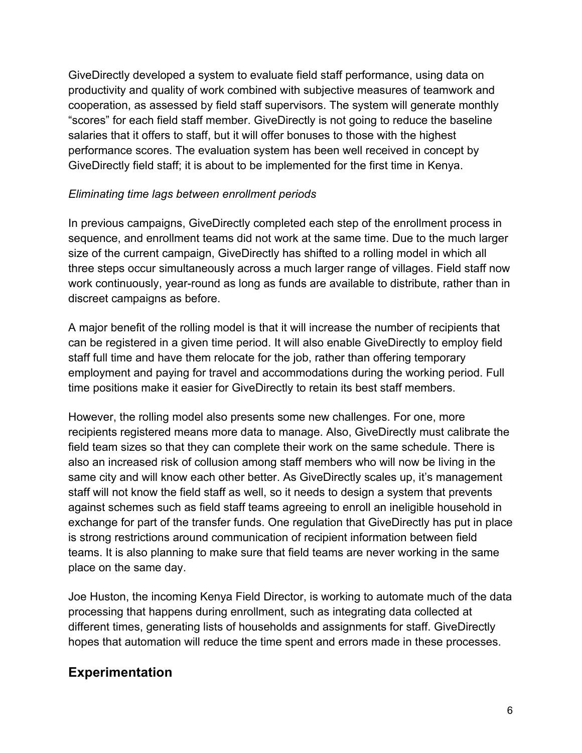GiveDirectly developed a system to evaluate field staff performance, using data on productivity and quality of work combined with subjective measures of teamwork and cooperation, as assessed by field staff supervisors. The system will generate monthly "scores" for each field staff member. GiveDirectly is not going to reduce the baseline salaries that it offers to staff, but it will offer bonuses to those with the highest performance scores. The evaluation system has been well received in concept by GiveDirectly field staff; it is about to be implemented for the first time in Kenya.

#### *Eliminating time lags between enrollment periods*

In previous campaigns, GiveDirectly completed each step of the enrollment process in sequence, and enrollment teams did not work at the same time. Due to the much larger size of the current campaign, GiveDirectly has shifted to a rolling model in which all three steps occur simultaneously across a much larger range of villages. Field staff now work continuously, year-round as long as funds are available to distribute, rather than in discreet campaigns as before.

A major benefit of the rolling model is that it will increase the number of recipients that can be registered in a given time period. It will also enable GiveDirectly to employ field staff full time and have them relocate for the job, rather than offering temporary employment and paying for travel and accommodations during the working period. Full time positions make it easier for GiveDirectly to retain its best staff members.

However, the rolling model also presents some new challenges. For one, more recipients registered means more data to manage. Also, GiveDirectly must calibrate the field team sizes so that they can complete their work on the same schedule. There is also an increased risk of collusion among staff members who will now be living in the same city and will know each other better. As GiveDirectly scales up, it's management staff will not know the field staff as well, so it needs to design a system that prevents against schemes such as field staff teams agreeing to enroll an ineligible household in exchange for part of the transfer funds. One regulation that GiveDirectly has put in place is strong restrictions around communication of recipient information between field teams. It is also planning to make sure that field teams are never working in the same place on the same day.

Joe Huston, the incoming Kenya Field Director, is working to automate much of the data processing that happens during enrollment, such as integrating data collected at different times, generating lists of households and assignments for staff. GiveDirectly hopes that automation will reduce the time spent and errors made in these processes.

# **Experimentation**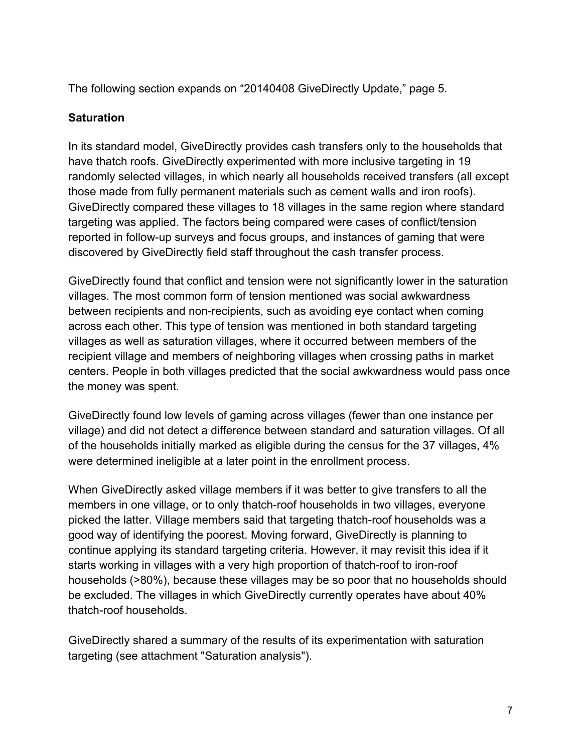The following section expands on "20140408 GiveDirectly Update," page 5.

### **Saturation**

In its standard model, GiveDirectly provides cash transfers only to the households that have thatch roofs. GiveDirectly experimented with more inclusive targeting in 19 randomly selected villages, in which nearly all households received transfers (all except those made from fully permanent materials such as cement walls and iron roofs). GiveDirectly compared these villages to 18 villages in the same region where standard targeting was applied. The factors being compared were cases of conflict/tension reported in follow-up surveys and focus groups, and instances of gaming that were discovered by GiveDirectly field staff throughout the cash transfer process.

GiveDirectly found that conflict and tension were not significantly lower in the saturation villages. The most common form of tension mentioned was social awkwardness between recipients and non-recipients, such as avoiding eye contact when coming across each other. This type of tension was mentioned in both standard targeting villages as well as saturation villages, where it occurred between members of the recipient village and members of neighboring villages when crossing paths in market centers. People in both villages predicted that the social awkwardness would pass once the money was spent.

GiveDirectly found low levels of gaming across villages (fewer than one instance per village) and did not detect a difference between standard and saturation villages. Of all of the households initially marked as eligible during the census for the 37 villages, 4% were determined ineligible at a later point in the enrollment process.

When GiveDirectly asked village members if it was better to give transfers to all the members in one village, or to only thatch-roof households in two villages, everyone picked the latter. Village members said that targeting thatch-roof households was a good way of identifying the poorest. Moving forward, GiveDirectly is planning to continue applying its standard targeting criteria. However, it may revisit this idea if it starts working in villages with a very high proportion of thatch-roof to iron-roof households (>80%), because these villages may be so poor that no households should be excluded. The villages in which GiveDirectly currently operates have about 40% thatch-roof households.

GiveDirectly shared a summary of the results of its experimentation with saturation targeting (see attachment "Saturation analysis").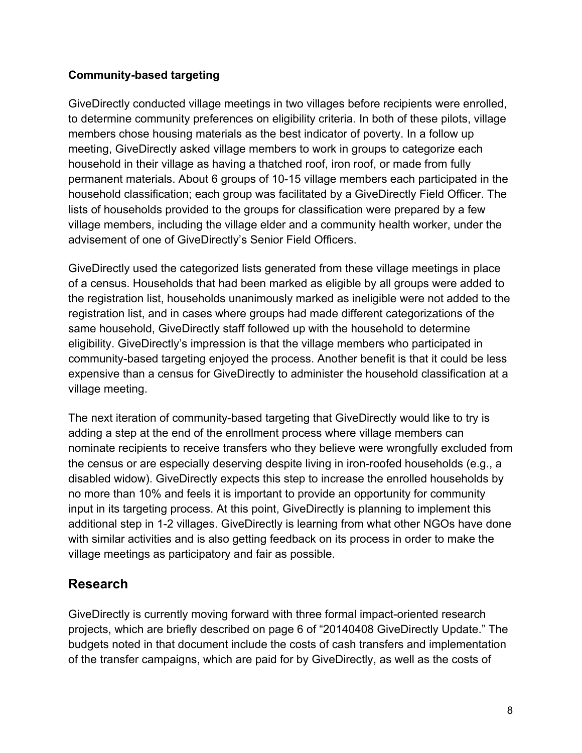### **Community-based targeting**

GiveDirectly conducted village meetings in two villages before recipients were enrolled, to determine community preferences on eligibility criteria. In both of these pilots, village members chose housing materials as the best indicator of poverty. In a follow up meeting, GiveDirectly asked village members to work in groups to categorize each household in their village as having a thatched roof, iron roof, or made from fully permanent materials. About 6 groups of 10-15 village members each participated in the household classification; each group was facilitated by a GiveDirectly Field Officer. The lists of households provided to the groups for classification were prepared by a few village members, including the village elder and a community health worker, under the advisement of one of GiveDirectly's Senior Field Officers.

GiveDirectly used the categorized lists generated from these village meetings in place of a census. Households that had been marked as eligible by all groups were added to the registration list, households unanimously marked as ineligible were not added to the registration list, and in cases where groups had made different categorizations of the same household, GiveDirectly staff followed up with the household to determine eligibility. GiveDirectly's impression is that the village members who participated in community-based targeting enjoyed the process. Another benefit is that it could be less expensive than a census for GiveDirectly to administer the household classification at a village meeting.

The next iteration of community-based targeting that GiveDirectly would like to try is adding a step at the end of the enrollment process where village members can nominate recipients to receive transfers who they believe were wrongfully excluded from the census or are especially deserving despite living in iron-roofed households (e.g., a disabled widow). GiveDirectly expects this step to increase the enrolled households by no more than 10% and feels it is important to provide an opportunity for community input in its targeting process. At this point, GiveDirectly is planning to implement this additional step in 1-2 villages. GiveDirectly is learning from what other NGOs have done with similar activities and is also getting feedback on its process in order to make the village meetings as participatory and fair as possible.

# **Research**

GiveDirectly is currently moving forward with three formal impact-oriented research projects, which are briefly described on page 6 of "20140408 GiveDirectly Update." The budgets noted in that document include the costs of cash transfers and implementation of the transfer campaigns, which are paid for by GiveDirectly, as well as the costs of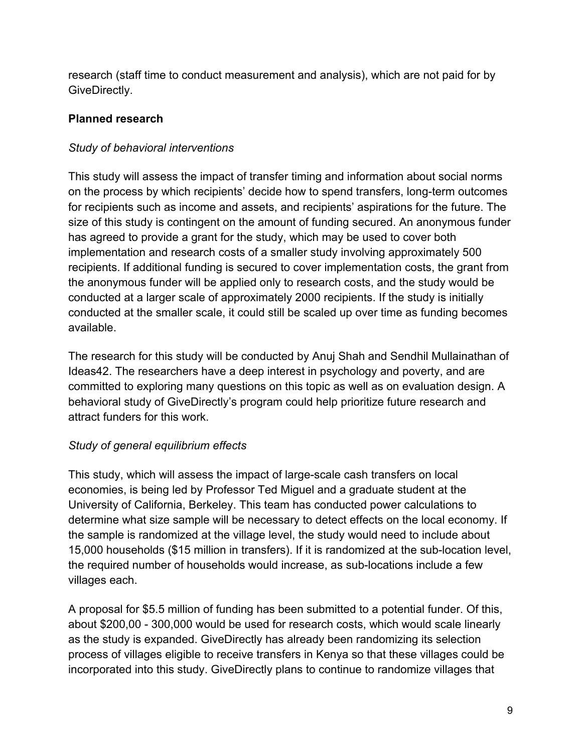research (staff time to conduct measurement and analysis), which are not paid for by GiveDirectly.

### **Planned research**

## *Study of behavioral interventions*

This study will assess the impact of transfer timing and information about social norms on the process by which recipients' decide how to spend transfers, long-term outcomes for recipients such as income and assets, and recipients' aspirations for the future. The size of this study is contingent on the amount of funding secured. An anonymous funder has agreed to provide a grant for the study, which may be used to cover both implementation and research costs of a smaller study involving approximately 500 recipients. If additional funding is secured to cover implementation costs, the grant from the anonymous funder will be applied only to research costs, and the study would be conducted at a larger scale of approximately 2000 recipients. If the study is initially conducted at the smaller scale, it could still be scaled up over time as funding becomes available.

The research for this study will be conducted by Anuj Shah and Sendhil Mullainathan of Ideas42. The researchers have a deep interest in psychology and poverty, and are committed to exploring many questions on this topic as well as on evaluation design. A behavioral study of GiveDirectly's program could help prioritize future research and attract funders for this work.

## *Study of general equilibrium effects*

This study, which will assess the impact of large-scale cash transfers on local economies, is being led by Professor Ted Miguel and a graduate student at the University of California, Berkeley. This team has conducted power calculations to determine what size sample will be necessary to detect effects on the local economy. If the sample is randomized at the village level, the study would need to include about 15,000 households (\$15 million in transfers). If it is randomized at the sub-location level, the required number of households would increase, as sub-locations include a few villages each.

A proposal for \$5.5 million of funding has been submitted to a potential funder. Of this, about \$200,00 - 300,000 would be used for research costs, which would scale linearly as the study is expanded. GiveDirectly has already been randomizing its selection process of villages eligible to receive transfers in Kenya so that these villages could be incorporated into this study. GiveDirectly plans to continue to randomize villages that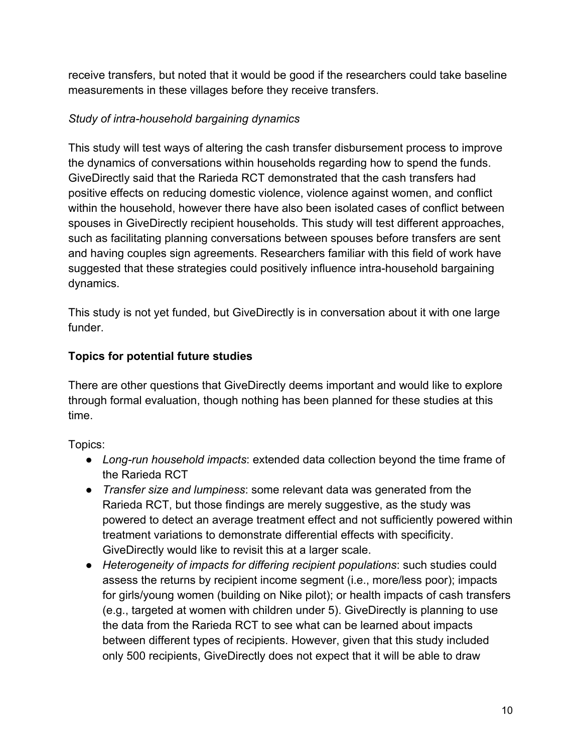receive transfers, but noted that it would be good if the researchers could take baseline measurements in these villages before they receive transfers.

### *Study of intra-household bargaining dynamics*

This study will test ways of altering the cash transfer disbursement process to improve the dynamics of conversations within households regarding how to spend the funds. GiveDirectly said that the Rarieda RCT demonstrated that the cash transfers had positive effects on reducing domestic violence, violence against women, and conflict within the household, however there have also been isolated cases of conflict between spouses in GiveDirectly recipient households. This study will test different approaches, such as facilitating planning conversations between spouses before transfers are sent and having couples sign agreements. Researchers familiar with this field of work have suggested that these strategies could positively influence intra-household bargaining dynamics.

This study is not yet funded, but GiveDirectly is in conversation about it with one large funder.

## **Topics for potential future studies**

There are other questions that GiveDirectly deems important and would like to explore through formal evaluation, though nothing has been planned for these studies at this time.

Topics:

- *Long-run household impacts*: extended data collection beyond the time frame of the Rarieda RCT
- *Transfer size and lumpiness*: some relevant data was generated from the Rarieda RCT, but those findings are merely suggestive, as the study was powered to detect an average treatment effect and not sufficiently powered within treatment variations to demonstrate differential effects with specificity. GiveDirectly would like to revisit this at a larger scale.
- *Heterogeneity of impacts for differing recipient populations*: such studies could assess the returns by recipient income segment (i.e., more/less poor); impacts for girls/young women (building on Nike pilot); or health impacts of cash transfers (e.g., targeted at women with children under 5). GiveDirectly is planning to use the data from the Rarieda RCT to see what can be learned about impacts between different types of recipients. However, given that this study included only 500 recipients, GiveDirectly does not expect that it will be able to draw